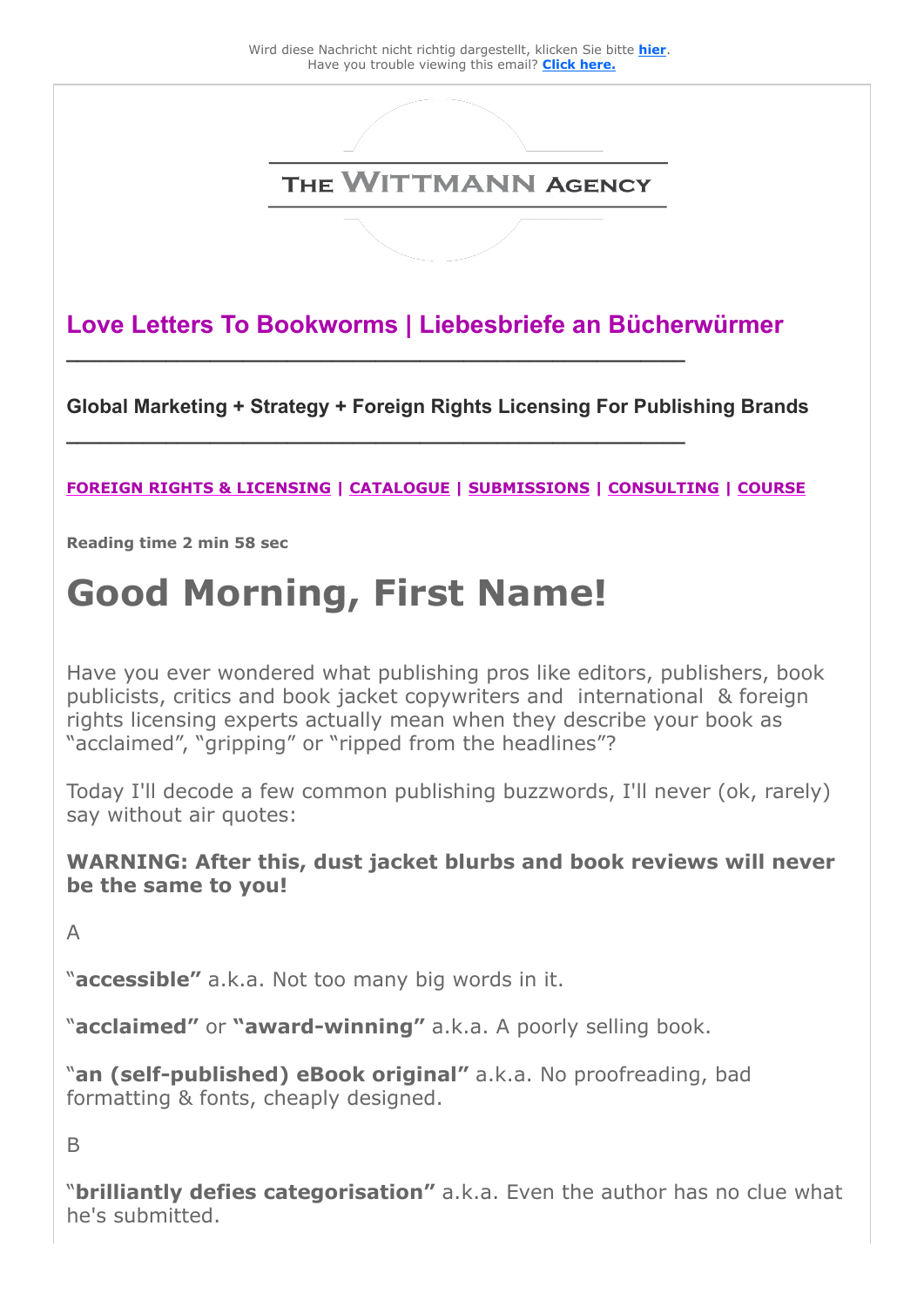

**Love Letters To Bookworms | Liebesbriefe an Bücherwürmer**

**\_\_\_\_\_\_\_\_\_\_\_\_\_\_\_\_\_\_\_\_\_\_\_\_\_\_\_\_\_\_\_\_\_\_\_\_\_\_\_\_\_\_\_\_\_\_\_\_\_\_\_\_\_\_\_\_**

**\_\_\_\_\_\_\_\_\_\_\_\_\_\_\_\_\_\_\_\_\_\_\_\_\_\_\_\_\_\_\_\_\_\_\_\_\_\_\_\_\_\_\_\_\_\_\_\_\_\_\_\_\_\_\_\_** 

**Global Marketing + Strategy + Foreign Rights Licensing For Publishing Brands** 

### **[FOREIGN RIGHTS & LICENSING](https://25446.seu.cleverreach.com/c/46178978/5e313c590-r7c80r) | [CATALOGUE](https://25446.seu.cleverreach.com/c/46178979/5e313c590-r7c80r) | [SUBMISSIONS](https://25446.seu.cleverreach.com/c/46178980/5e313c590-r7c80r) | [CONSULTING](https://25446.seu.cleverreach.com/c/46178981/5e313c590-r7c80r) | [COURSE](https://25446.seu.cleverreach.com/c/46178982/5e313c590-r7c80r)**

**Reading time 2 min 58 sec** 

# **Good Morning, First Name!**

Have you ever wondered what publishing pros like editors, publishers, book publicists, critics and book jacket copywriters and international & foreign rights licensing experts actually mean when they describe your book as "acclaimed", "gripping" or "ripped from the headlines"?

Today I'll decode a few common publishing buzzwords, I'll never (ok, rarely) say without air quotes:

**WARNING: After this, dust jacket blurbs and book reviews will never be the same to you!**

A

"**accessible"** a.k.a. Not too many big words in it.

"**acclaimed"** or **"award-winning"** a.k.a. A poorly selling book.

"**an (self-published) eBook original"** a.k.a. No proofreading, bad formatting & fonts, cheaply designed.

B

"**brilliantly defies categorisation"** a.k.a. Even the author has no clue what he's submitted.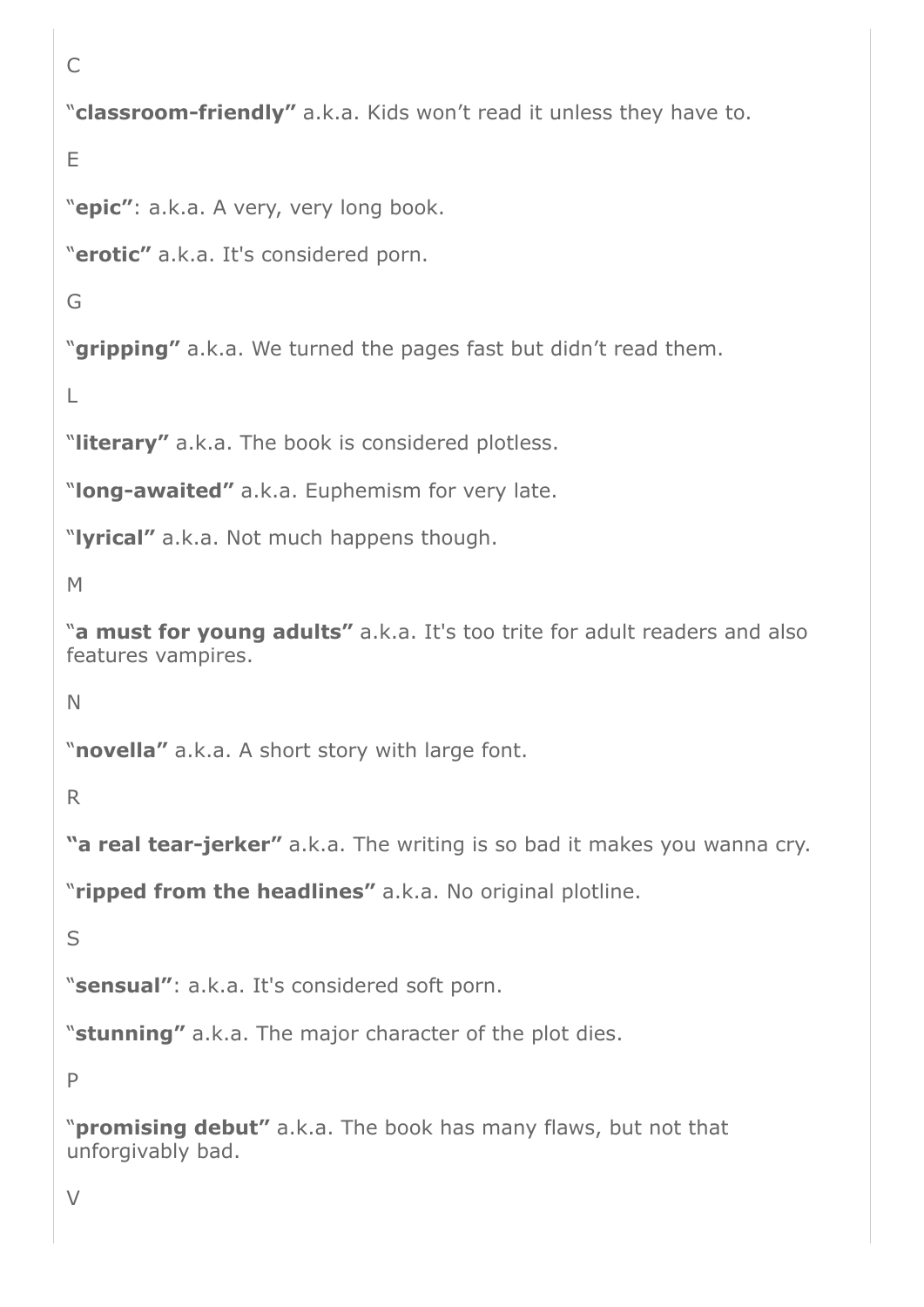```
C
"classroom-friendly" a.k.a. Kids won't read it unless they have to.
E
"epic": a.k.a. A very, very long book.
"erotic" a.k.a. It's considered porn.
G
"gripping" a.k.a. We turned the pages fast but didn't read them.
L
"literary" a.k.a. The book is considered plotless.
"long-awaited" a.k.a. Euphemism for very late.
"lyrical" a.k.a. Not much happens though.
M
"a must for young adults" a.k.a. It's too trite for adult readers and also
features vampires.
N
"novella" a.k.a. A short story with large font.
R
"a real tear-jerker" a.k.a. The writing is so bad it makes you wanna cry.
"ripped from the headlines" a.k.a. No original plotline.
S
"sensual": a.k.a. It's considered soft porn.
"stunning" a.k.a. The major character of the plot dies.
P
"promising debut" a.k.a. The book has many flaws, but not that
unforgivably bad.
```

```
V
```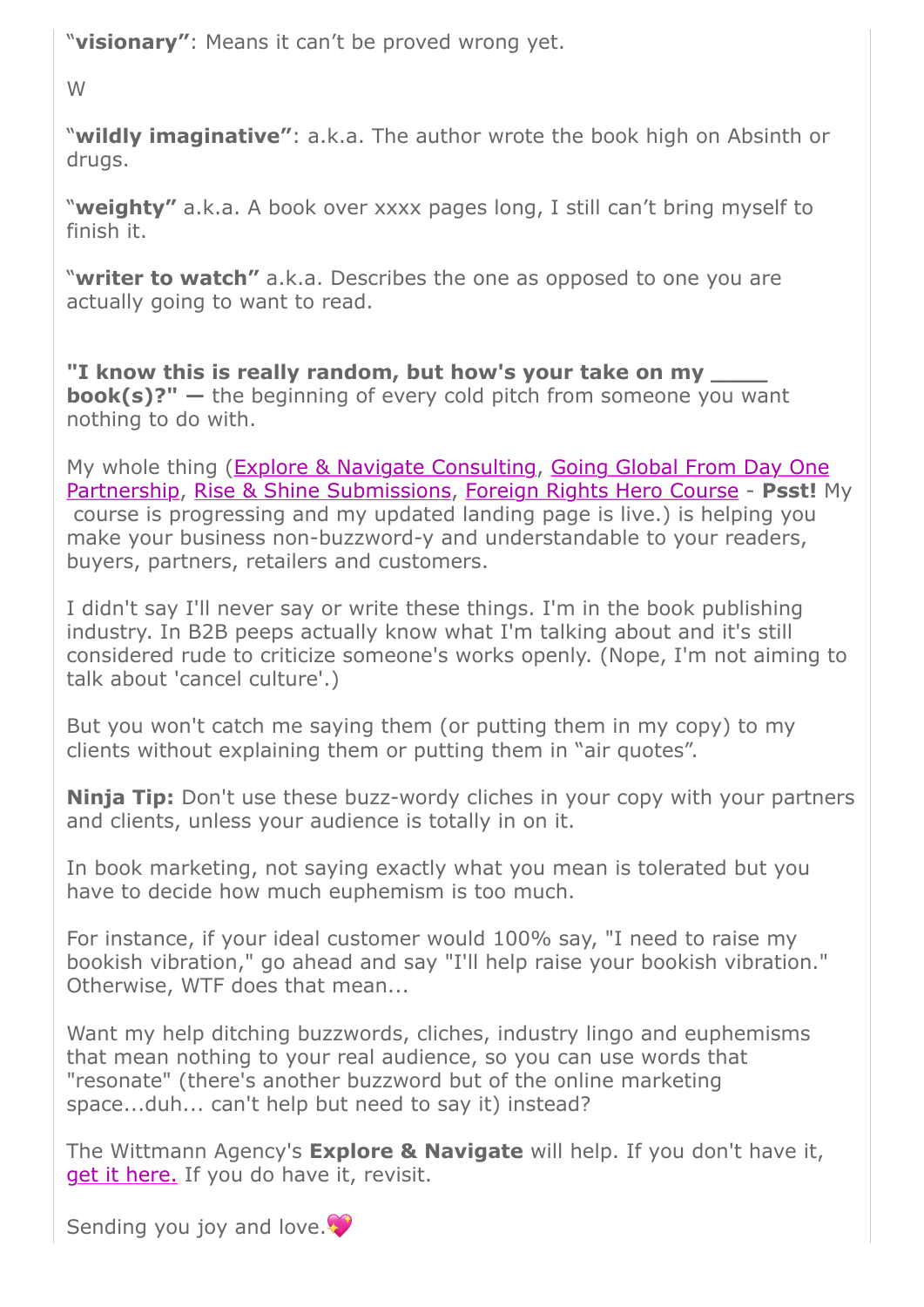"**visionary"**: Means it can't be proved wrong yet.

W

"**wildly imaginative"**: a.k.a. The author wrote the book high on Absinth or drugs.

"**weighty"** a.k.a. A book over xxxx pages long, I still can't bring myself to finish it.

"**writer to watch"** a.k.a. Describes the one as opposed to one you are actually going to want to read.

**"I know this is really random, but how's your take on my \_\_\_\_ book(s)?" —** the beginning of every cold pitch from someone you want nothing to do with.

[My whole thing \(Explore & Navigate Consulting, Going Global From Day One](https://25446.seu.cleverreach.com/c/46178983/5e313c590-r7c80r) Partnership, [Rise & Shine Submissions,](https://25446.seu.cleverreach.com/c/46178980/5e313c590-r7c80r) [Foreign Rights Hero Course](https://25446.seu.cleverreach.com/c/46178982/5e313c590-r7c80r) - **Psst!** My course is progressing and my updated landing page is live.) is helping you make your business non-buzzword-y and understandable to your readers, buyers, partners, retailers and customers.

I didn't say I'll never say or write these things. I'm in the book publishing industry. In B2B peeps actually know what I'm talking about and it's still considered rude to criticize someone's works openly. (Nope, I'm not aiming to talk about 'cancel culture'.)

But you won't catch me saying them (or putting them in my copy) to my clients without explaining them or putting them in "air quotes".

**Ninja Tip:** Don't use these buzz-wordy cliches in your copy with your partners and clients, unless your audience is totally in on it.

In book marketing, not saying exactly what you mean is tolerated but you have to decide how much euphemism is too much.

For instance, if your ideal customer would 100% say, "I need to raise my bookish vibration," go ahead and say "I'll help raise your bookish vibration." Otherwise, WTF does that mean...

Want my help ditching buzzwords, cliches, industry lingo and euphemisms that mean nothing to your real audience, so you can use words that "resonate" (there's another buzzword but of the online marketing space...duh... can't help but need to say it) instead?

The Wittmann Agency's **Explore & Navigate** will help. If you don't have it, [get it here.](https://25446.seu.cleverreach.com/c/46178981/5e313c590-r7c80r) If you do have it, revisit.

Sending you joy and love.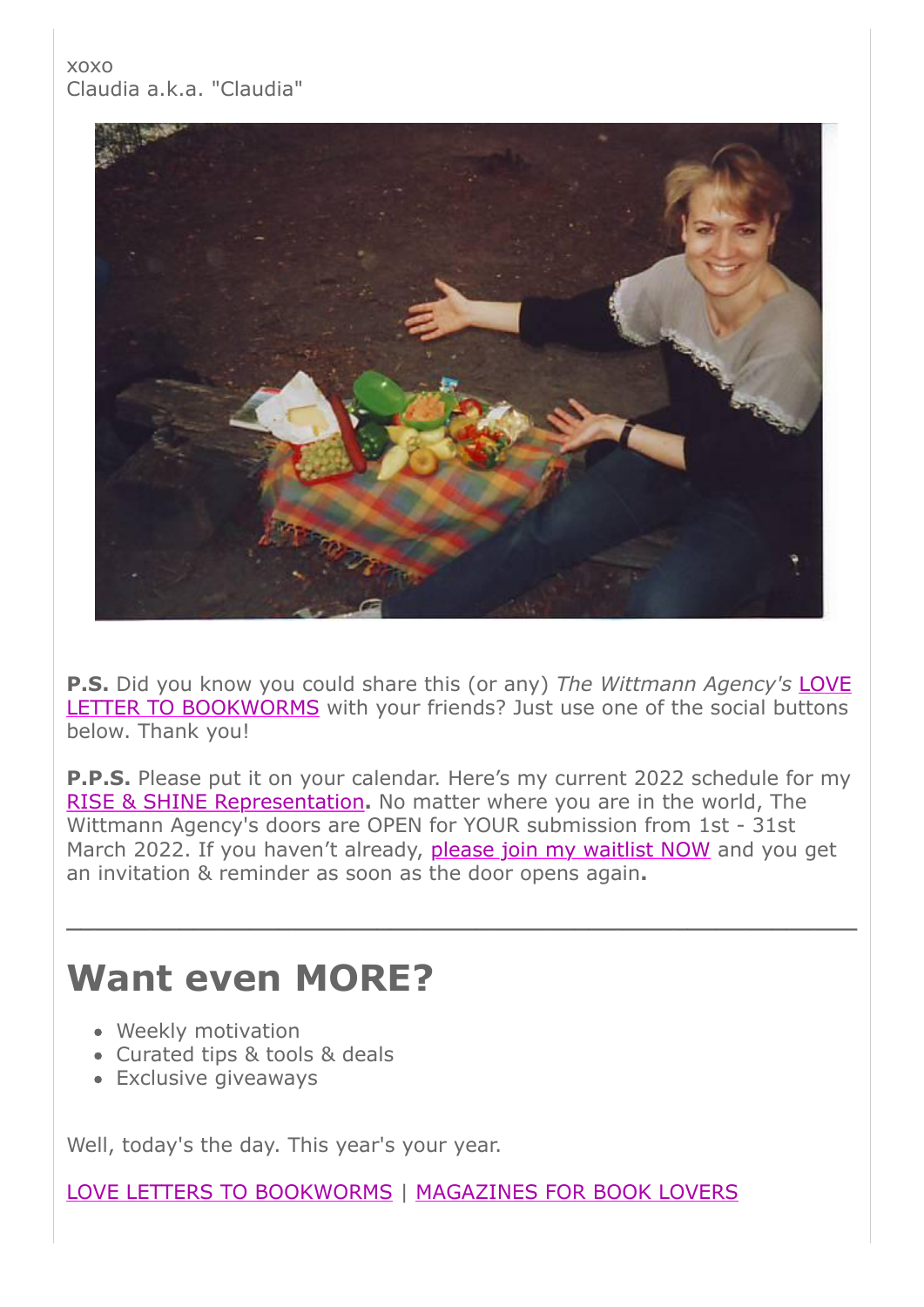### xoxo Claudia a.k.a. "Claudia"



**P.S.** Did you know you could share this (or any) *The Wittmann Agency's* LOVE [LETTER TO BOOKWORMS with your friends? Just use one of the social buttons](https://25446.seu.cleverreach.com/c/46178985/5e313c590-r7c80r) below. Thank you!

**P.P.S.** Please put it on your calendar. Here's my current 2022 schedule for my [RISE & SHINE Representation](https://25446.seu.cleverreach.com/c/46178978/5e313c590-r7c80r)**.** No matter where you are in the world, The Wittmann Agency's doors are OPEN for YOUR submission from 1st - 31st March 2022. If you haven't already, [please join my waitlist NOW](https://25446.seu.cleverreach.com/c/46178986/5e313c590-r7c80r) and you get an invitation & reminder as soon as the door opens again**.**

**\_\_\_\_\_\_\_\_\_\_\_\_\_\_\_\_\_\_\_\_\_\_\_\_\_\_\_\_\_\_\_\_\_\_\_\_\_\_\_\_\_\_\_\_\_\_\_\_\_\_\_\_\_\_\_\_**

## **Want even MORE?**

- Weekly motivation
- Curated tips & tools & deals
- Exclusive giveaways

Well, today's the day. This year's your year.

[LOVE LETTERS TO BOOKWORMS](https://25446.seu.cleverreach.com/c/46178987/5e313c590-r7c80r) | [MAGAZINES FOR BOOK LOVERS](https://25446.seu.cleverreach.com/c/46178988/5e313c590-r7c80r)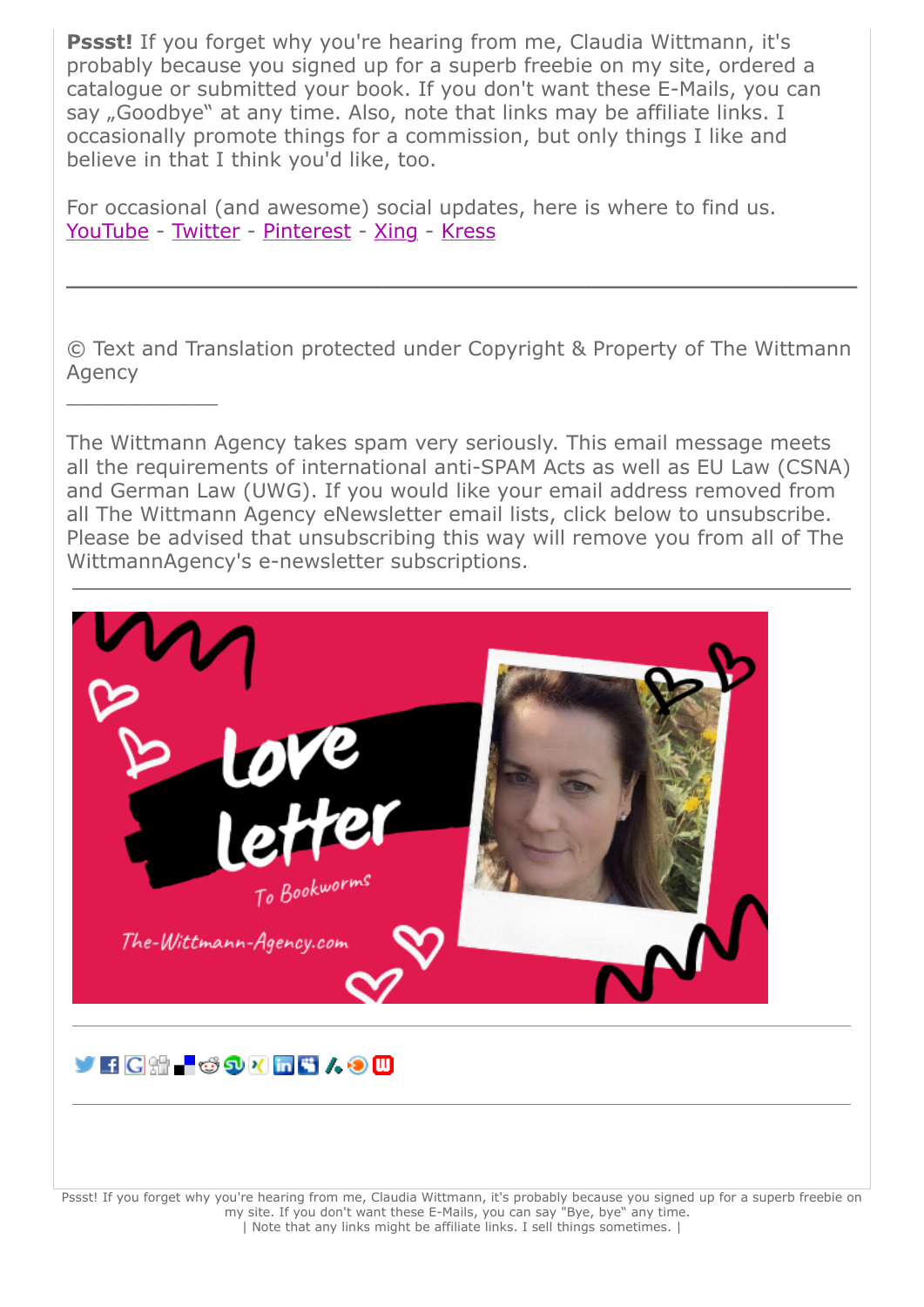**Pssst!** If you forget why you're hearing from me, Claudia Wittmann, it's probably because you signed up for a superb freebie on my site, ordered a catalogue or submitted your book. If you don't want these E-Mails, you can say "Goodbye" at any time. Also, note that links may be affiliate links. I occasionally promote things for a commission, but only things I like and believe in that I think you'd like, too.

For occasional (and awesome) social updates, here is where to find us. [YouTube](https://25446.seu.cleverreach.com/c/46178989/5e313c590-r7c80r) - [Twitter](https://25446.seu.cleverreach.com/c/46178990/5e313c590-r7c80r) - [Pinterest](https://25446.seu.cleverreach.com/c/46178991/5e313c590-r7c80r) - [Xing](https://25446.seu.cleverreach.com/c/46178992/5e313c590-r7c80r) - [Kress](https://25446.seu.cleverreach.com/c/46178993/5e313c590-r7c80r)

 $\frac{1}{2}$  ,  $\frac{1}{2}$  ,  $\frac{1}{2}$  ,  $\frac{1}{2}$  ,  $\frac{1}{2}$  ,  $\frac{1}{2}$  ,  $\frac{1}{2}$ 

© Text and Translation protected under Copyright & Property of The Wittmann Agency

**\_\_\_\_\_\_\_\_\_\_\_\_\_\_\_\_\_\_\_\_\_\_\_\_\_\_\_\_\_\_\_\_\_\_\_\_\_\_\_\_\_\_\_\_\_\_\_\_\_\_\_\_\_\_\_\_**

The Wittmann Agency takes spam very seriously. This email message meets all the requirements of international anti-SPAM Acts as well as EU Law (CSNA) and German Law (UWG). If you would like your email address removed from all The Wittmann Agency eNewsletter email lists, click below to unsubscribe. Please be advised that unsubscribing this way will remove you from all of The WittmannAgency's e-newsletter subscriptions.